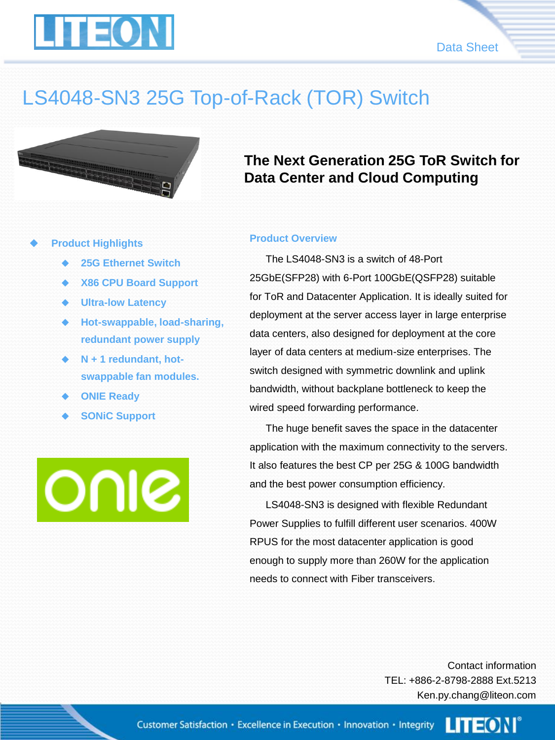



## LS4048-SN3 25G Top-of-Rack (TOR) Switch



#### **Product Highlights**

- **25G Ethernet Switch**
- **X86 CPU Board Support**
- **Ultra-low Latency**
- **Hot-swappable, load-sharing, redundant power supply**
- **N + 1 redundant, hotswappable fan modules.**
- **ONIE Ready**
- **SONiC Support**

OUIS

### **The Next Generation 25G ToR Switch for Data Center and Cloud Computing**

#### **Product Overview**

The LS4048-SN3 is a switch of 48-Port 25GbE(SFP28) with 6-Port 100GbE(QSFP28) suitable for ToR and Datacenter Application. It is ideally suited for deployment at the server access layer in large enterprise data centers, also designed for deployment at the core layer of data centers at medium-size enterprises. The switch designed with symmetric downlink and uplink bandwidth, without backplane bottleneck to keep the wired speed forwarding performance.

The huge benefit saves the space in the datacenter application with the maximum connectivity to the servers. It also features the best CP per 25G & 100G bandwidth and the best power consumption efficiency.

LS4048-SN3 is designed with flexible Redundant Power Supplies to fulfill different user scenarios. 400W RPUS for the most datacenter application is good enough to supply more than 260W for the application needs to connect with Fiber transceivers.

> Contact information TEL: +886-2-8798-2888 Ext.5213 Ken.py.chang@liteon.com